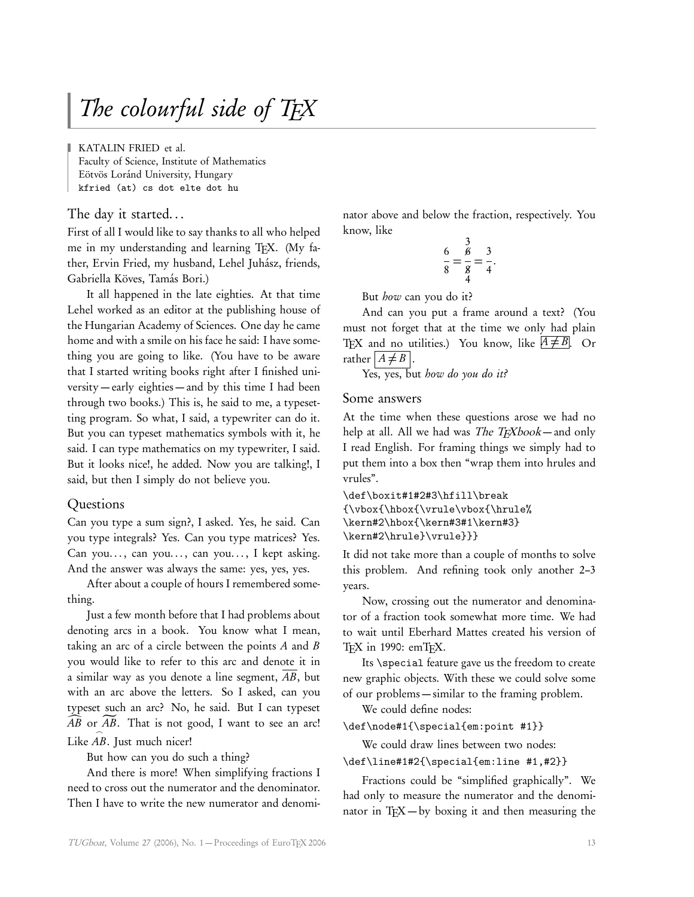# The colourful side of TFX

KATALIN FRIED et al. Faculty of Science, Institute of Mathematics Eötvös Loránd University, Hungary kfried (at) cs dot elte dot hu

The day it started. . .

First of all I would like to say thanks to all who helped me in my understanding and learning TFX. (My father, Ervin Fried, my husband, Lehel Juhász, friends, Gabriella Köves, Tamás Bori.)

It all happened in the late eighties. At that time Lehel worked as an editor at the publishing house of the Hungarian Academy of Sciences. One day he came home and with a smile on his face he said: I have something you are going to like. (You have to be aware that I started writing books right after I finished university — early eighties — and by this time I had been through two books.) This is, he said to me, a typesetting program. So what, I said, a typewriter can do it. But you can typeset mathematics symbols with it, he said. I can type mathematics on my typewriter, I said. But it looks nice!, he added. Now you are talking!, I said, but then I simply do not believe you.

### Questions

Can you type a sum sign?, I asked. Yes, he said. Can you type integrals? Yes. Can you type matrices? Yes. Can you..., can you..., can you..., I kept asking. And the answer was always the same: yes, yes, yes.

After about a couple of hours I remembered something.

Just a few month before that I had problems about denoting arcs in a book. You know what I mean, taking an arc of a circle between the points  $A$  and  $B$ you would like to refer to this arc and denote it in a similar way as you denote a line segment, AB, but with an arc above the letters. So I asked, can you typeset such an arc? No, he said. But I can typeset  $\widehat{AB}$  or  $\widetilde{AB}$ . That is not good, I want to see an arc! Like AB. Just much nicer!

But how can you do such a thing?

And there is more! When simplifying fractions I need to cross out the numerator and the denominator. Then I have to write the new numerator and denominator above and below the fraction, respectively. You know, like

$$
\frac{6}{8} = \frac{3}{8} = \frac{3}{4}
$$

.

But how can you do it?

And can you put a frame around a text? (You must not forget that at the time we only had plain TFX and no utilities.) You know, like  $A \neq B$ . Or rather  $A \neq B$  .

Yes, yes, but how do you do it?

### Some answers

At the time when these questions arose we had no help at all. All we had was *The TEXbook* — and only I read English. For framing things we simply had to put them into a box then "wrap them into hrules and vrules".

\def\boxit#1#2#3\hfill\break {\vbox{\hbox{\vrule\vbox{\hrule% \kern#2\hbox{\kern#3#1\kern#3} \kern#2\hrule}\vrule}}}

It did not take more than a couple of months to solve this problem. And refining took only another 2–3 years.

Now, crossing out the numerator and denominator of a fraction took somewhat more time. We had to wait until Eberhard Mattes created his version of TEX in 1990: emTEX.

Its \special feature gave us the freedom to create new graphic objects. With these we could solve some of our problems — similar to the framing problem.

We could define nodes:

\def\node#1{\special{em:point #1}}

We could draw lines between two nodes:

\def\line#1#2{\special{em:line #1,#2}}

Fractions could be "simplified graphically". We had only to measure the numerator and the denominator in TEX — by boxing it and then measuring the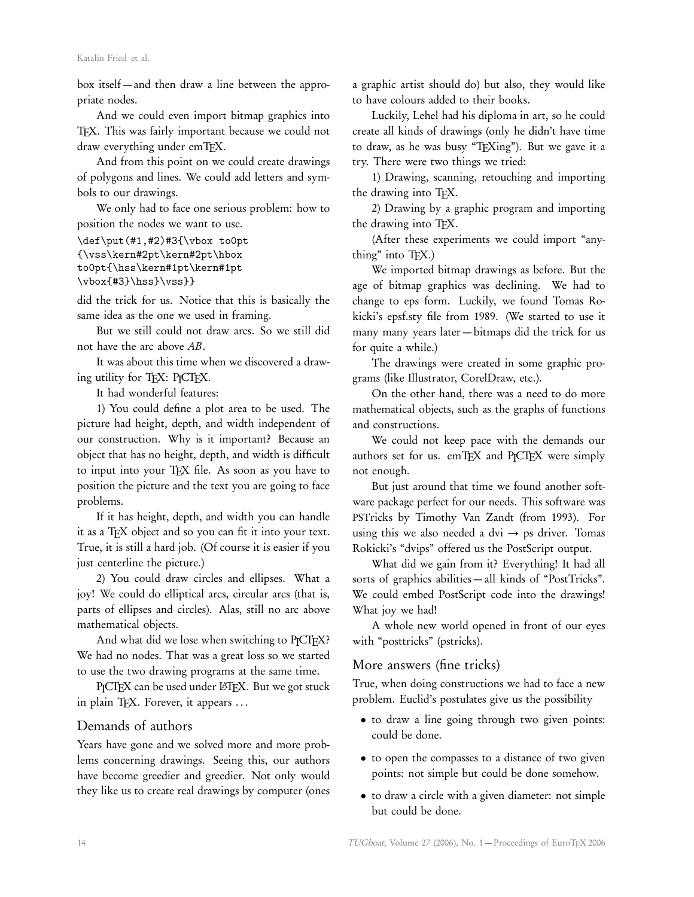box itself — and then draw a line between the appropriate nodes.

And we could even import bitmap graphics into TEX. This was fairly important because we could not draw everything under emTEX.

And from this point on we could create drawings of polygons and lines. We could add letters and symbols to our drawings.

We only had to face one serious problem: how to position the nodes we want to use.

```
\def\put(#1,#2)#3{\vbox to0pt
{\vss\kern#2pt\kern#2pt\hbox
to0pt{\hss\kern#1pt\kern#1pt
\vbox{#3}\hss}\vss}}
```
did the trick for us. Notice that this is basically the same idea as the one we used in framing.

But we still could not draw arcs. So we still did not have the arc above AB.

It was about this time when we discovered a drawing utility for TEX: P<sub>I</sub>CTEX.

It had wonderful features:

1) You could define a plot area to be used. The picture had height, depth, and width independent of our construction. Why is it important? Because an object that has no height, depth, and width is difficult to input into your TEX file. As soon as you have to position the picture and the text you are going to face problems.

If it has height, depth, and width you can handle it as a TEX object and so you can fit it into your text. True, it is still a hard job. (Of course it is easier if you just centerline the picture.)

2) You could draw circles and ellipses. What a joy! We could do elliptical arcs, circular arcs (that is, parts of ellipses and circles). Alas, still no arc above mathematical objects.

And what did we lose when switching to PJCTEX? We had no nodes. That was a great loss so we started to use the two drawing programs at the same time.

PJCTEX can be used under LATEX. But we got stuck in plain TFX. Forever, it appears ...

## Demands of authors

Years have gone and we solved more and more problems concerning drawings. Seeing this, our authors have become greedier and greedier. Not only would they like us to create real drawings by computer (ones

a graphic artist should do) but also, they would like to have colours added to their books.

Luckily, Lehel had his diploma in art, so he could create all kinds of drawings (only he didn't have time to draw, as he was busy "TEXing"). But we gave it a try. There were two things we tried:

1) Drawing, scanning, retouching and importing the drawing into TEX.

2) Drawing by a graphic program and importing the drawing into TEX.

(After these experiments we could import "anything" into TEX.)

We imported bitmap drawings as before. But the age of bitmap graphics was declining. We had to change to eps form. Luckily, we found Tomas Rokicki's epsf.sty file from 1989. (We started to use it many many years later — bitmaps did the trick for us for quite a while.)

The drawings were created in some graphic programs (like Illustrator, CorelDraw, etc.).

On the other hand, there was a need to do more mathematical objects, such as the graphs of functions and constructions.

We could not keep pace with the demands our authors set for us. emTEX and PJCTEX were simply not enough.

But just around that time we found another software package perfect for our needs. This software was PSTricks by Timothy Van Zandt (from 1993). For using this we also needed a dvi  $\rightarrow$  ps driver. Tomas Rokicki's "dvips" offered us the PostScript output.

What did we gain from it? Everything! It had all sorts of graphics abilities — all kinds of "PostTricks". We could embed PostScript code into the drawings! What joy we had!

A whole new world opened in front of our eyes with "posttricks" (pstricks).

#### More answers (fine tricks)

True, when doing constructions we had to face a new problem. Euclid's postulates give us the possibility

- to draw a line going through two given points: could be done.
- to open the compasses to a distance of two given points: not simple but could be done somehow.
- to draw a circle with a given diameter: not simple but could be done.